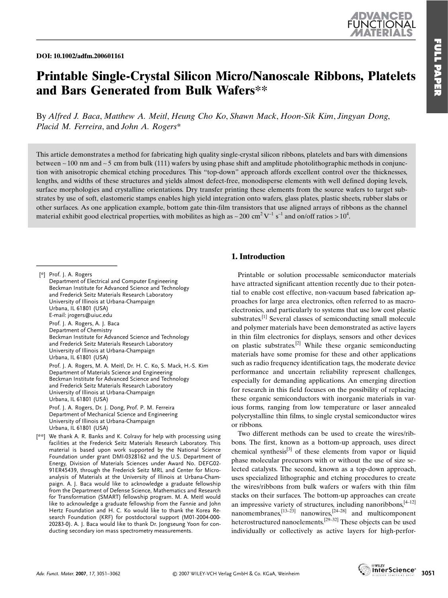**FULL PAPER**

# **Printable Single-Crystal Silicon Micro/Nanoscale Ribbons, Platelets and Bars Generated from Bulk Wafers\*\***

By *Alfred J. Baca*, *Matthew A. Meitl*, *Heung Cho Ko*, *Shawn Mack*, *Hoon-Sik Kim*, *Jingyan Dong*, *Placid M. Ferreira*, and *John A. Rogers*\*

This article demonstrates a<br>between ~100 nm and ~5 c<br>tion with anisotropic chemi<br>lengths, and widths of these<br>surface morphologies and c<br>strates by use of soft, elasto<br>other surfaces. As one appl<br>material exhibit good ele This article demonstrates a method for fabricating high quality single-crystal silicon ribbons, platelets and bars with dimensions between ∼ 100 nm and ∼ 5 cm from bulk (111) wafers by using phase shift and amplitude photolithographic methods in conjunction with anisotropic chemical etching procedures. This "top-down" approach affords excellent control over the thicknesses, lengths, and widths of these structures and yields almost defect-free, monodisperse elements with well defined doping levels, surface morphologies and crystalline orientations. Dry transfer printing these elements from the source wafers to target substrates by use of soft, elastomeric stamps enables high yield integration onto wafers, glass plates, plastic sheets, rubber slabs or other surfaces. As one application example, bottom gate thin-film transistors that use aligned arrays of ribbons as the channel material exhibit good electrical properties, with mobilites as high as ~200 cm<sup>2</sup>V<sup>-1</sup> s<sup>-1</sup> and on/off ratios >10<sup>4</sup>.

Prof. J. A. Rogers, Dr. J. Dong, Prof. P. M. Ferreira Department of Mechanical Science and Engineering University of Illinois at Urbana-Champaign Urbana, IL 61801 (USA)

[\*\*] We thank A. R. Banks and K. Colravy for help with processing using facilities at the Frederick Seitz Materials Research Laboratory. This material is based upon work supported by the National Science Foundation under grant DMI-0328162 and the U.S. Department of Energy, Division of Materials Sciences under Award No. DEFG02- 91ER45439, through the Frederick Seitz MRL and Center for Microanalysis of Materials at the University of Illinois at Urbana-Champaign. A. J. Baca would like to acknowledge a graduate fellowship from the Department of Defense Science, Mathematics and Research for Transformation (SMART) fellowship program. M. A. Meitl would like to acknowledge a graduate fellowship from the Fannie and John Hertz Foundation and H. C. Ko would like to thank the Korea Research Foundation (KRF) for postdoctoral support (M01-2004-000- 20283-0). A. J. Baca would like to thank Dr. Jongseung Yoon for conducting secondary ion mass spectrometry measurements.

# **1. Introduction**

Printable or solution processable semiconductor materials have attracted significant attention recently due to their potential to enable cost effective, non-vacuum based fabrication approaches for large area electronics, often referred to as macroelectronics, and particularly to systems that use low cost plastic substrates.<sup>[1]</sup> Several classes of semiconducting small molecule and polymer materials have been demonstrated as active layers in thin film electronics for displays, sensors and other devices on plastic substrates.[2] While these organic semiconducting materials have some promise for these and other applications such as radio frequency identification tags, the moderate device performance and uncertain reliability represent challenges, especially for demanding applications. An emerging direction for research in this field focuses on the possibility of replacing these organic semiconductors with inorganic materials in various forms, ranging from low temperature or laser annealed polycrystalline thin films, to single crystal semiconductor wires or ribbons.

Two different methods can be used to create the wires/ribbons. The first, known as a bottom-up approach, uses direct chemical synthesis $^{[3]}$  of these elements from vapor or liquid phase molecular precursors with or without the use of size selected catalysts. The second, known as a top-down approach, uses specialized lithographic and etching procedures to create the wires/ribbons from bulk wafers or wafers with thin film stacks on their surfaces. The bottom-up approaches can create an impressive variety of structures, including nanoribbons. $[4-12]$ nanomembranes, $\begin{bmatrix} 13-23 \end{bmatrix}$  nanowires, $\begin{bmatrix} 24-28 \end{bmatrix}$  and multicomponent heterostructured nanoelements.[29–32] These objects can be used individually or collectively as active layers for high-perfor-



<sup>[\*]</sup> Prof. J. A. Rogers

Department of Electrical and Computer Engineering Beckman Institute for Advanced Science and Technology and Frederick Seitz Materials Research Laboratory University of Illinois at Urbana-Champaign Urbana, IL 61801 (USA) E-mail: jrogers@uiuc.edu Prof. J. A. Rogers, A. J. Baca Department of Chemistry Beckman Institute for Advanced Science and Technology and Frederick Seitz Materials Research Laboratory University of Illinois at Urbana-Champaign Urbana, IL 61801 (USA) Prof. J. A. Rogers, M. A. Meitl, Dr. H. C. Ko, S. Mack, H.-S. Kim Department of Materials Science and Engineering Beckman Institute for Advanced Science and Technology and Frederick Seitz Materials Research Laboratory University of Illinois at Urbana-Champaign Urbana, IL 61801 (USA)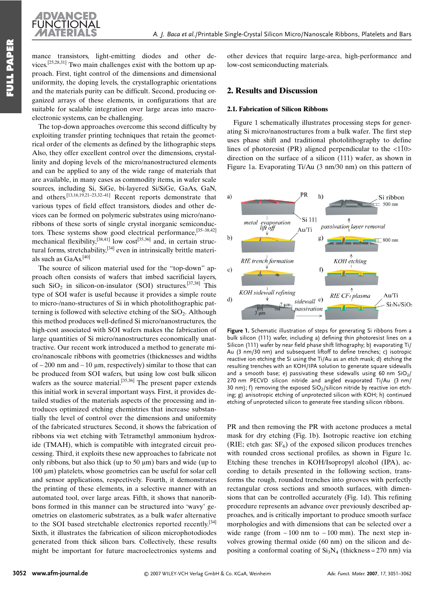mance transistors, light-emitting diodes and other devices.[25,28,31] Two main challenges exist with the bottom up approach. First, tight control of the dimensions and dimensional uniformity, the doping levels, the crystallographic orientations and the materials purity can be difficult. Second, producing organized arrays of these elements, in configurations that are suitable for scalable integration over large areas into macroelectronic systems, can be challenging.

ANCED FUNCTIONAL

The top-down approaches overcome this second difficulty by exploiting transfer printing techniques that retain the geometrical order of the elements as defined by the lithographic steps. Also, they offer excellent control over the dimensions, crystallinity and doping levels of the micro/nanostructured elements and can be applied to any of the wide range of materials that are available, in many cases as commodity items, in wafer scale sources, including Si, SiGe, bi-layered Si/SiGe, GaAs, GaN, and others.[13,16,19,21–23,32–41] Recent reports demonstrate that various types of field effect transistors, diodes and other devices can be formed on polymeric substrates using micro/nanoribbons of these sorts of single crystal inorganic semiconductors. These systems show good electrical performance,<sup>[35-38,42]</sup> mechanical flexibility,<sup>[38,41]</sup> low cost<sup>[35,36]</sup> and, in certain structural forms, stretchability, $[34]$  even in intrinsically brittle materials such as GaAs.[40]

The source of silicon material used for the "top-down" approach often consists of wafers that imbed sacrificial layers, such  $SiO<sub>2</sub>$  in silicon-on-insulator (SOI) structures.<sup>[37,38]</sup> This type of SOI wafer is useful because it provides a simple route to micro-/nano-structures of Si in which photolithographic patterning is followed with selective etching of the  $SiO<sub>2</sub>$ . Although this method produces well-defined Si micro/nanostructures, the high-cost associated with SOI wafers makes the fabrication of large quantities of Si micro/nanostructures economically unattractive. Our recent work introduced a method to generate micro/nanoscale ribbons with geometries (thicknesses and widths of ∼200 nm and ~10  $\mu$ m, respectively) similar to those that can be produced from SOI wafers, but using low cost bulk silicon wafers as the source material.<sup>[35,36]</sup> The present paper extends this initial work in several important ways. First, it provides detailed studies of the materials aspects of the processing and introduces optimized etching chemistries that increase substantially the level of control over the dimensions and uniformity of the fabricated structures. Second, it shows the fabrication of ribbons via wet etching with Tetramethyl ammonium hydroxide (TMAH), which is compatible with integrated circuit processing. Third, it exploits these new approaches to fabricate not only ribbons, but also thick (up to  $50 \mu m$ ) bars and wide (up to 100 μm) platelets, whose geometries can be useful for solar cell and sensor applications, respectively. Fourth, it demonstrates the printing of these elements, in a selective manner with an automated tool, over large areas. Fifth, it shows that nanoribbons formed in this manner can be structured into 'wavy' geometries on elastomeric substrates, as a bulk wafer alternative to the SOI based stretchable electronics reported recently.<sup>[34]</sup> Sixth, it illustrates the fabrication of silicon microphotodiodes generated from thick silicon bars. Collectively, these results might be important for future macroelectronics systems and

other devices that require large-area, high-performance and low-cost semiconducting materials.

# **2. Results and Discussion**

#### **2.1. Fabrication of Silicon Ribbons**

Figure 1 schematically illustrates processing steps for generating Si micro/nanostructures from a bulk wafer. The first step uses phase shift and traditional photolithography to define lines of photoresist (PR) aligned perpendicular to the  $\langle 110 \rangle$ direction on the surface of a silicon (111) wafer, as shown in Figure 1a. Evaporating Ti/Au (3 nm/30 nm) on this pattern of



Figure 1. Schematic illustration of steps for generating Si ribbons from a bulk silicon (111) wafer, including a) defining thin photoresist lines on a Silicon (111) wafer by near field phase shift lithography; b) evaporating Ti/ Au (3 nm/30 nm) and subsequent liftoff to define trenches; c) isotropic reactive ion etching the Si using the Ti/Au as an etch mask; d) etching the resulting trenches with an KOH/IPA solution to generate square sidewalls and a smooth base; e) passivating these sidewalls using 60 nm  $SiO<sub>2</sub>/$ 270 nm PECVD silicon nitride and angled evaporated Ti/Au (3 nm/ 30 nm); f) removing the exposed  $SiO<sub>2</sub>/silicon$  nitride by reactive ion etching; g) anisotropic etching of unprotected silicon with KOH; h) continued etching of unprotected silicon to generate free standing silicon ribbons.

PR and then removing the PR with acetone produces a metal mask for dry etching (Fig. 1b). Isotropic reactive ion etching (RIE; etch gas:  $SF<sub>6</sub>$ ) of the exposed silicon produces trenches with rounded cross sectional profiles, as shown in Figure 1c. Etching these trenches in KOH/Isopropyl alcohol (IPA), according to details presented in the following section, transforms the rough, rounded trenches into grooves with perfectly rectangular cross sections and smooth surfaces, with dimensions that can be controlled accurately (Fig. 1d). This refining procedure represents an advance over previously described approaches, and is critically important to produce smooth surface morphologies and with dimensions that can be selected over a wide range (from ∼ 100 nm to ∼ 100 mm). The next step involves growing thermal oxide (60 nm) on the silicon and depositing a conformal coating of  $Si<sub>3</sub>N<sub>4</sub>$  (thickness = 270 nm) via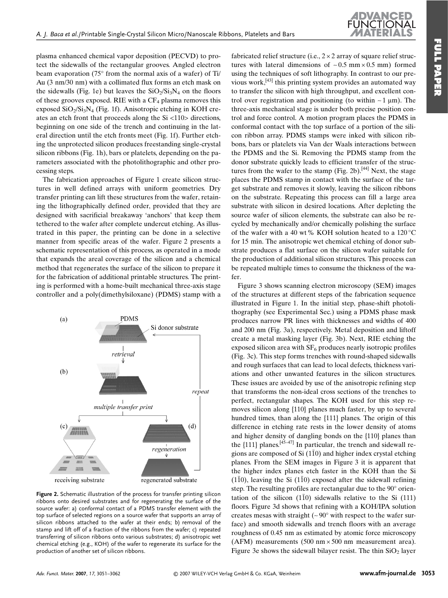plasma enhanced chemical vapor deposition (PECVD) to protect the sidewalls of the rectangular grooves. Angled electron beam evaporation (75° from the normal axis of a wafer) of Ti/ Au (3 nm/30 nm) with a collimated flux forms an etch mask on the sidewalls (Fig. 1e) but leaves the  $SiO<sub>2</sub>/Si<sub>3</sub>N<sub>4</sub>$  on the floors of these grooves exposed. RIE with a  $CF_4$  plasma removes this exposed  $SiO<sub>2</sub>/Si<sub>3</sub>N<sub>4</sub>$  (Fig. 1f). Anisotropic etching in KOH creates an etch front that proceeds along the Si <110> directions, beginning on one side of the trench and continuing in the lateral direction until the etch fronts meet (Fig. 1f). Further etching the unprotected silicon produces freestanding single-crystal silicon ribbons (Fig. 1h), bars or platelets, depending on the parameters associated with the photolithographic and other processing steps.

The fabrication approaches of Figure 1 create silicon structures in well defined arrays with uniform geometries. Dry transfer printing can lift these structures from the wafer, retaining the lithographically defined order, provided that they are designed with sacrificial breakaway 'anchors' that keep them tethered to the wafer after complete undercut etching. As illustrated in this paper, the printing can be done in a selective manner from specific areas of the wafer. Figure 2 presents a schematic representation of this process, as operated in a mode that expands the areal coverage of the silicon and a chemical method that regenerates the surface of the silicon to prepare it for the fabrication of additional printable structures. The printing is performed with a home-built mechanical three-axis stage controller and a poly(dimethylsiloxane) (PDMS) stamp with a



**Figure 2.** Schematic illustration of the process for transfer printing silicon ribbons onto desired substrates and for regenerating the surface of the source wafer: a) conformal contact of a PDMS transfer element with the top surface of selected regions on a source wafer that supports an array of silicon ribbons attached to the wafer at their ends; b) removal of the stamp and lift off of a fraction of the ribbons from the wafer; c) repeated transferring of silicon ribbons onto various substrates; d) anisotropic wet chemical etching (e.g., KOH) of the wafer to regenerate its surface for the production of another set of silicon ribbons.

fabricated relief structure (i.e.,  $2 \times 2$  array of square relief structures with lateral dimensions of  $~0.5~\text{mm} \times 0.5~\text{mm}$ ) formed using the techniques of soft lithography. In contrast to our previous work,[43] this printing system provides an automated way to transfer the silicon with high throughput, and excellent control over registration and positioning (to within  $~\sim 1 \mu m$ ). The three-axis mechanical stage is under both precise position control and force control. A motion program places the PDMS in conformal contact with the top surface of a portion of the silicon ribbon array. PDMS stamps were inked with silicon ribbons, bars or platelets via Van der Waals interactions between the PDMS and the Si. Removing the PDMS stamp from the donor substrate quickly leads to efficient transfer of the structures from the wafer to the stamp (Fig. 2b).<sup>[44]</sup> Next, the stage places the PDMS stamp in contact with the surface of the target substrate and removes it slowly, leaving the silicon ribbons on the substrate. Repeating this process can fill a large area substrate with silicon in desired locations. After depleting the source wafer of silicon elements, the substrate can also be recycled by mechanically and/or chemically polishing the surface of the wafer with a 40 wt% KOH solution heated to a 120 °C for 15 min. The anisotropic wet chemical etching of donor substrate produces a flat surface on the silicon wafer suitable for the production of additional silicon structures. This process can be repeated multiple times to consume the thickness of the wafer.

Figure 3 shows scanning electron microscopy (SEM) images of the structures at different steps of the fabrication sequence illustrated in Figure 1. In the initial step, phase-shift photolithography (see Experimental Sec.) using a PDMS phase mask produces narrow PR lines with thicknesses and widths of 400 and 200 nm (Fig. 3a), respectively. Metal deposition and liftoff create a metal masking layer (Fig. 3b). Next, RIE etching the exposed silicon area with  $SF_6$  produces nearly isotropic profiles (Fig. 3c). This step forms trenches with round-shaped sidewalls and rough surfaces that can lead to local defects, thickness variations and other unwanted features in the silicon structures. These issues are avoided by use of the anisotropic refining step that transforms the non-ideal cross sections of the trenches to perfect, rectangular shapes. The KOH used for this step removes silicon along {110} planes much faster, by up to several hundred times, than along the {111} planes. The origin of this difference in etching rate rests in the lower density of atoms and higher density of dangling bonds on the {110} planes than the  $\{111\}$  planes.<sup>[45-47]</sup> In particular, the trench and sidewall regions are composed of Si  $(1\bar{1}0)$  and higher index crystal etching planes. From the SEM images in Figure 3 it is apparent that the higher index planes etch faster in the KOH than the Si  $(1\bar{1}0)$ , leaving the Si  $(1\bar{1}0)$  exposed after the sidewall refining step. The resulting profiles are rectangular due to the 90° orientation of the silicon  $(1\bar{1}0)$  sidewalls relative to the Si  $(111)$ floors. Figure 3d shows that refining with a KOH/IPA solution creates mesas with straight (∼ 90° with respect to the wafer surface) and smooth sidewalls and trench floors with an average roughness of 0.45 nm as estimated by atomic force microscopy (AFM) measurements  $(500 \text{ nm} \times 500 \text{ nm}$  measurement area). Figure 3e shows the sidewall bilayer resist. The thin  $SiO<sub>2</sub>$  layer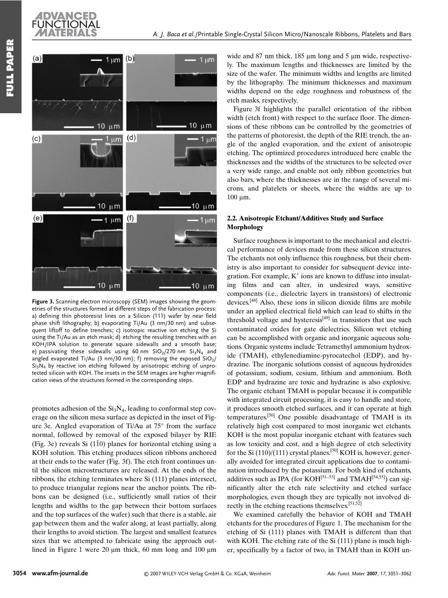



**Figure 3.** Scanning electron microscopy (SEM) images showing the geometries of the structures formed at different steps of the fabrication process: a) defining thin photoresist lines on a Silicon (111) wafer by near field phase shift lithography; b) evaporating Ti/Au (3 nm/30 nm) and subsequent liftoff to define trenches; c) isotropic reactive ion etching the Si using the Ti/Au as an etch mask; d) etching the resulting trenches with an KOH/IPA solution to generate square sidewalls and a smooth base; e) passivating these sidewalls using 60 nm  $SiO_2/270$  nm  $Si<sub>3</sub>N<sub>4</sub>$  and angled evaporated Ti/Au (3 nm/30 nm); f) removing the exposed  $SiO<sub>2</sub>/$  $Si<sub>3</sub>N<sub>4</sub>$  by reactive ion etching followed by anisotropic etching of unprotected silicon with KOH. The insets in the SEM images are higher magnification views of the structures formed in the corresponding steps.

promotes adhesion of the  $Si<sub>3</sub>N<sub>4</sub>$ , leading to conformal step coverage on the silicon mesa surface as depicted in the inset of Figure 3e. Angled evaporation of Ti/Au at 75° from the surface normal, followed by removal of the exposed bilayer by RIE (Fig. 3e) reveals Si  $(1\bar{1}0)$  planes for horizontal etching using a KOH solution. This etching produces silicon ribbons anchored at their ends to the wafer (Fig. 3f). The etch front continues until the silicon microstructures are released. At the ends of the ribbons, the etching terminates where Si (111) planes intersect, to produce triangular regions near the anchor points. The ribbons can be designed (i.e., sufficiently small ratios of their lengths and widths to the gap between their bottom surfaces and the top surfaces of the wafer) such that there is a stable, air gap between them and the wafer along, at least partially, along their lengths to avoid stiction. The largest and smallest features sizes that we attempted to fabricate using the approach outlined in Figure 1 were 20  $\mu$ m thick, 60 mm long and 100  $\mu$ m

wide and 87 nm thick,  $185 \mu m$  long and 5  $\mu m$  wide, respectively. The maximum lengths and thicknesses are limited by the size of the wafer. The minimum widths and lengths are limited by the lithography. The minimum thicknesses and maximum widths depend on the edge roughness and robustness of the etch masks, respectively.

Figure 3f highlights the parallel orientation of the ribbon width (etch front) with respect to the surface floor. The dimensions of these ribbons can be controlled by the geometries of the patterns of photoresist, the depth of the RIE trench, the angle of the angled evaporation, and the extent of anisotropic etching. The optimized procedures introduced here enable the thicknesses and the widths of the structures to be selected over a very wide range, and enable not only ribbon geometries but also bars, where the thicknesses are in the range of several microns, and platelets or sheets, where the widths are up to 100 um.

#### **2.2. Anisotropic Etchant/Additives Study and Surface Morphology**

Surface roughness is important to the mechanical and electrical performance of devices made from these silicon structures. The etchants not only influence this roughness, but their chemistry is also important to consider for subsequent device integration. For example,  $K^+$  ions are known to diffuse into insulating films and can alter, in undesired ways, sensitive components (i.e., dielectric layers in transistors) of electronic devices.[48] Also, these ions in silicon dioxide films are mobile under an applied electrical field which can lead to shifts in the threshold voltage and hysteresis $[49]$  in transistors that use such contaminated oxides for gate dielectrics. Silicon wet etching can be accomplished with organic and inorganic aqueous solutions. Organic systems include Tetramethyl ammonium hydroxide (TMAH), ethylenediamine-pyrocatechol (EDP), and hydrazine. The inorganic solutions consist of aqueous hydroxides of potassium, sodium, cesium, lithium and ammonium. Both EDP and hydrazine are toxic and hydrazine is also explosive. The organic etchant TMAH is popular because it is compatible with integrated circuit processing, it is easy to handle and store, it produces smooth etched surfaces, and it can operate at high temperatures.[50] One possible disadvantage of TMAH is its relatively high cost compared to most inorganic wet etchants. KOH is the most popular inorganic etchant with features such as low toxicity and cost, and a high degree of etch selectivity for the Si  $(110)/(111)$  crystal planes.<sup>[50]</sup> KOH is, however, generally avoided for integrated circuit applications due to contamination introduced by the potassium. For both kind of etchants, additives such as IPA (for  $KOH^{[51-53]}$  and TMAH<sup>[54,55]</sup>) can significantly alter the etch rate selectivity and etched surface morphologies, even though they are typically not involved directly in the etching reactions themselves.<sup>[51,52]</sup>

We examined carefully the behavior of KOH and TMAH etchants for the procedures of Figure 1. The mechanism for the etching of Si (111) planes with TMAH is different than that with KOH. The etching rate of the Si (111) plane is much higher, specifically by a factor of two, in TMAH than in KOH un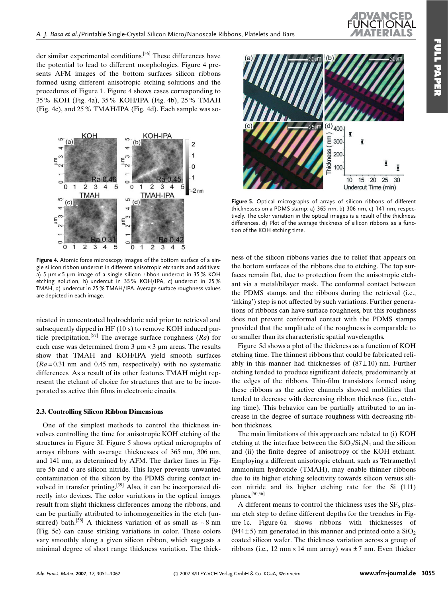der similar experimental conditions.[56] These differences have the potential to lead to different morphologies. Figure 4 presents AFM images of the bottom surfaces silicon ribbons formed using different anisotropic etching solutions and the procedures of Figure 1. Figure 4 shows cases corresponding to 35% KOH (Fig. 4a), 35 % KOH/IPA (Fig. 4b), 25 % TMAH (Fig. 4c), and 25 % TMAH/IPA (Fig. 4d). Each sample was so-



**Figure 4.** Atomic force microscopy images of the bottom surface of a single silicon ribbon undercut in different anisotropic etchants and additives: a) 5  $\mu$ m × 5  $\mu$ m image of a single silicon ribbon undercut in 35 % KOH etching solution, b) undercut in 35 % KOH/IPA, c) undercut in 25 % TMAH, d) undercut in 25 % TMAH/IPA. Average surface roughness values are depicted in each image.

nicated in concentrated hydrochloric acid prior to retrieval and subsequently dipped in HF (10 s) to remove KOH induced particle precipitation.[57] The average surface roughness (*Ra*) for each case was determined from  $3 \mu m \times 3 \mu m$  areas. The results show that TMAH and KOH/IPA yield smooth surfaces  $(Ra = 0.31$  nm and 0.45 nm, respectively) with no systematic differences. As a result of its other features TMAH might represent the etchant of choice for structures that are to be incorporated as active thin films in electronic circuits.

#### **2.3. Controlling Silicon Ribbon Dimensions**

One of the simplest methods to control the thickness involves controlling the time for anisotropic KOH etching of the structures in Figure 3f. Figure 5 shows optical micrographs of arrays ribbons with average thicknesses of 365 nm, 306 nm, and 141 nm, as determined by AFM. The darker lines in Figure 5b and c are silicon nitride. This layer prevents unwanted contamination of the silicon by the PDMS during contact involved in transfer printing.<sup>[39]</sup> Also, it can be incorporated directly into devices. The color variations in the optical images result from slight thickness differences among the ribbons, and can be partially attributed to inhomogeneities in the etch (unstirred) bath.[58] A thickness variation of as small as ∼ 8 nm (Fig. 5c) can cause striking variations in color. These colors vary smoothly along a given silicon ribbon, which suggests a minimal degree of short range thickness variation. The thick-



**Figure 5.** Optical micrographs of arrays of silicon ribbons of different thicknesses on a PDMS stamp: a) 365 nm, b) 306 nm, c) 141 nm, respectively. The color variation in the optical images is a result of the thickness differences. d) Plot of the average thickness of silicon ribbons as a function of the KOH etching time.

ness of the silicon ribbons varies due to relief that appears on the bottom surfaces of the ribbons due to etching. The top surfaces remain flat, due to protection from the anisotropic etchant via a metal/bilayer mask. The conformal contact between the PDMS stamps and the ribbons during the retrieval (i.e., 'inking') step is not affected by such variations. Further generations of ribbons can have surface roughness, but this roughness does not prevent conformal contact with the PDMS stamps provided that the amplitude of the roughness is comparable to or smaller than its characteristic spatial wavelengths.

Figure 5d shows a plot of the thickness as a function of KOH etching time. The thinnest ribbons that could be fabricated reliably in this manner had thicknesses of  $(87 \pm 10)$  nm. Further etching tended to produce significant defects, predominantly at the edges of the ribbons. Thin-film transistors formed using these ribbons as the active channels showed mobilities that tended to decrease with decreasing ribbon thickness (i.e., etching time). This behavior can be partially attributed to an increase in the degree of surface roughness with decreasing ribbon thickness.

The main limitations of this approach are related to (i) KOH etching at the interface between the  $SiO<sub>2</sub>/Si<sub>3</sub>N<sub>4</sub>$  and the silicon and (ii) the finite degree of anisotropy of the KOH etchant. Employing a different anisotropic etchant, such as Tetramethyl ammonium hydroxide (TMAH), may enable thinner ribbons due to its higher etching selectivity towards silicon versus silicon nitride and its higher etching rate for the Si (111) planes.[50,56]

A different means to control the thickness uses the  $SF<sub>6</sub>$  plasma etch step to define different depths for the trenches in Figure 1c. Figure 6a shows ribbons with thicknesses of  $(944 \pm 5)$  nm generated in this manner and printed onto a SiO<sub>2</sub> coated silicon wafer. The thickness variation across a group of ribbons (i.e., 12 mm × 14 mm array) was  $\pm$ 7 nm. Even thicker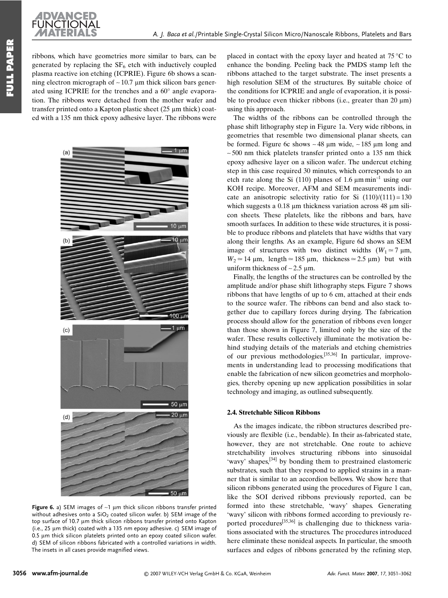

ribbons, which have geometries more similar to bars, can be generated by replacing the  $SF<sub>6</sub>$  etch with inductively coupled plasma reactive ion etching (ICPRIE). Figure 6b shows a scanning electron micrograph of ~10.7 μm thick silicon bars generated using ICPRIE for the trenches and a 60° angle evaporation. The ribbons were detached from the mother wafer and transfer printed onto a Kapton plastic sheet  $(25 \mu m)$  thick) coated with a 135 nm thick epoxy adhesive layer. The ribbons were



**Figure 6.** a) SEM images of ~1 μm thick silicon ribbons transfer printed without adhesives onto a  $SiO<sub>2</sub>$  coated silicon wafer. b) SEM image of the top surface of 10.7 µm thick silicon ribbons transfer printed onto Kapton (i.e., 25 µm thick) coated with a 135 nm epoxy adhesive. c) SEM image of 0.5 µm thick silicon platelets printed onto an epoxy coated silicon wafer. d) SEM of silicon ribbons fabricated with a controlled variations in width. The insets in all cases provide magnified views.

placed in contact with the epoxy layer and heated at  $75^{\circ}$ C to enhance the bonding. Peeling back the PMDS stamp left the ribbons attached to the target substrate. The inset presents a high resolution SEM of the structures. By suitable choice of the conditions for ICPRIE and angle of evaporation, it is possible to produce even thicker ribbons (i.e., greater than  $20 \mu m$ ) using this approach.

The widths of the ribbons can be controlled through the phase shift lithography step in Figure 1a. Very wide ribbons, in geometries that resemble two dimensional planar sheets, can be formed. Figure 6c shows ∼ 48 lm wide, ∼ 185 lm long and ∼ 500 nm thick platelets transfer printed onto a 135 nm thick epoxy adhesive layer on a silicon wafer. The undercut etching step in this case required 30 minutes, which corresponds to an etch rate along the Si (110) planes of 1.6  $\mu$ m min<sup>-1</sup> using our KOH recipe. Moreover, AFM and SEM measurements indicate an anisotropic selectivity ratio for Si  $(110)/(111) = 130$ which suggests a  $0.18 \mu m$  thickness variation across  $48 \mu m$  silicon sheets. These platelets, like the ribbons and bars, have smooth surfaces. In addition to these wide structures, it is possible to produce ribbons and platelets that have widths that vary along their lengths. As an example, Figure 6d shows an SEM image of structures with two distinct widths  $(W_1 \approx 7 \mu m)$ ,  $W_2 \approx 14 \text{ µm}$ , length  $\approx 185 \text{ µm}$ , thickness  $\approx 2.5 \text{ µm}$ ) but with uniform thickness of  $~2.5 \mu m$ .

Finally, the lengths of the structures can be controlled by the amplitude and/or phase shift lithography steps. Figure 7 shows ribbons that have lengths of up to 6 cm, attached at their ends to the source wafer. The ribbons can bend and also stack together due to capillary forces during drying. The fabrication process should allow for the generation of ribbons even longer than those shown in Figure 7, limited only by the size of the wafer. These results collectively illuminate the motivation behind studying details of the materials and etching chemistries of our previous methodologies.[35,36] In particular, improvements in understanding lead to processing modifications that enable the fabrication of new silicon geometries and morphologies, thereby opening up new application possibilities in solar technology and imaging, as outlined subsequently.

#### **2.4. Stretchable Silicon Ribbons**

As the images indicate, the ribbon structures described previously are flexible (i.e., bendable). In their as-fabricated state, however, they are not stretchable. One route to achieve stretchability involves structuring ribbons into sinusoidal 'wavy' shapes,[34] by bonding them to prestrained elastomeric substrates, such that they respond to applied strains in a manner that is similar to an accordion bellows. We show here that silicon ribbons generated using the procedures of Figure 1 can, like the SOI derived ribbons previously reported, can be formed into these stretchable, 'wavy' shapes. Generating 'wavy' silicon with ribbons formed according to previously reported procedures<sup>[35,36]</sup> is challenging due to thickness variations associated with the structures. The procedures introduced here eliminate these nonideal aspects. In particular, the smooth surfaces and edges of ribbons generated by the refining step,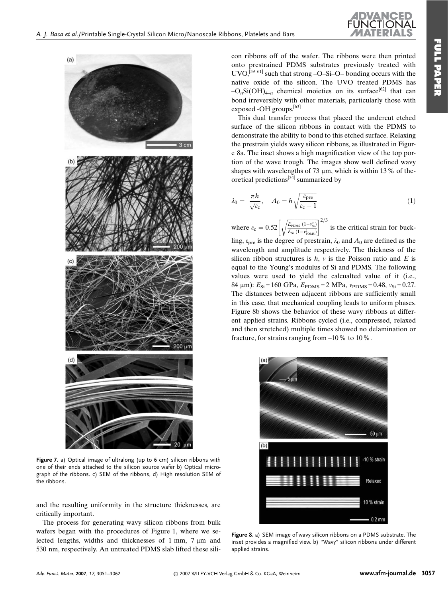

**Figure 7.** a) Optical image of ultralong (up to 6 cm) silicon ribbons with one of their ends attached to the silicon source wafer b) Optical micrograph of the ribbons. c) SEM of the ribbons, d) High resolution SEM of the ribbons.

and the resulting uniformity in the structure thicknesses, are critically important.

The process for generating wavy silicon ribbons from bulk wafers began with the procedures of Figure 1, where we selected lengths, widths and thicknesses of  $1 \text{ mm}$ ,  $7 \text{ µm}$  and 530 nm, respectively. An untreated PDMS slab lifted these silicon ribbons off of the wafer. The ribbons were then printed onto prestrained PDMS substrates previously treated with UVO,<sup>[59–61]</sup> such that strong  $-O-Si-O-$  bonding occurs with the native oxide of the silicon. The UVO treated PDMS has  $-O<sub>n</sub>Si(OH)<sub>4-n</sub>$  chemical moieties on its surface<sup>[62]</sup> that can bond irreversibly with other materials, particularly those with exposed -OH groups.[63]

This dual transfer process that placed the undercut etched surface of the silicon ribbons in contact with the PDMS to demonstrate the ability to bond to this etched surface. Relaxing the prestrain yields wavy silicon ribbons, as illustrated in Figure 8a. The inset shows a high magnification view of the top portion of the wave trough. The images show well defined wavy shapes with wavelengths of 73  $\mu$ m, which is within 13% of theoretical predictions[34] summarized by

$$
\lambda_0 = \frac{\pi h}{\sqrt{\varepsilon_c}}, \quad A_0 = h \sqrt{\frac{\varepsilon_{\text{pre}}}{\varepsilon_{\text{c}} - 1}} \tag{1}
$$

where  $\varepsilon_{\rm c} = 0.52 \left[ \sqrt{\frac{E_{\rm PDMS} \ (1 - v_{\rm Si}^2)}{E_{\rm Si} \ (1 - v_{\rm PDMS}^2)}} \right]$  $\left[ \frac{E_{\text{PDMS}}}{(1-v_{\text{si}}^2)} \right]^{2/3}$ is the critical strain for buck-

ling,  $\varepsilon_{pre}$  is the degree of prestrain,  $\lambda_0$  and  $A_0$  are defined as the wavelength and amplitude respectively. The thickness of the silicon ribbon structures is  $h$ ,  $v$  is the Poisson ratio and  $E$  is equal to the Young's modulus of Si and PDMS. The following values were used to yield the calcualted value of it (i.e., 84  $\mu$ m):  $E_{Si} = 160 \text{ GPa}, E_{PDMS} = 2 \text{ MPa}, v_{PDMS} = 0.48, v_{Si} = 0.27.$ The distances between adjacent ribbons are sufficiently small in this case, that mechanical coupling leads to uniform phases. Figure 8b shows the behavior of these wavy ribbons at different applied strains. Ribbons cycled (i.e., compressed, relaxed and then stretched) multiple times showed no delamination or fracture, for strains ranging from –10 % to 10%.



**Figure 8.** a) SEM image of wavy silicon ribbons on a PDMS substrate. The inset provides a magnified view. b) "Wavy" silicon ribbons under different applied strains.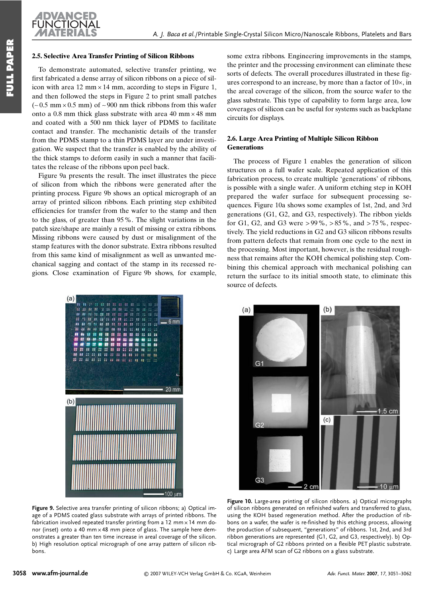#### **2.5. Selective Area Transfer Printing of Silicon Ribbons**

To demonstrate automated, selective transfer printing, we first fabricated a dense array of silicon ribbons on a piece of silicon with area 12 mm  $\times$  14 mm, according to steps in Figure 1, and then followed the steps in Figure 2 to print small patches  $(-0.5 \text{ mm} \times 0.5 \text{ mm})$  of ~900 nm thick ribbons from this wafer onto a 0.8 mm thick glass substrate with area 40 mm  $\times$  48 mm and coated with a 500 nm thick layer of PDMS to facilitate contact and transfer. The mechanistic details of the transfer from the PDMS stamp to a thin PDMS layer are under investigation. We suspect that the transfer is enabled by the ability of the thick stamps to deform easily in such a manner that facilitates the release of the ribbons upon peel back.

Figure 9a presents the result. The inset illustrates the piece of silicon from which the ribbons were generated after the printing process. Figure 9b shows an optical micrograph of an array of printed silicon ribbons. Each printing step exhibited efficiencies for transfer from the wafer to the stamp and then to the glass, of greater than 95%. The slight variations in the patch size/shape are mainly a result of missing or extra ribbons. Missing ribbons were caused by dust or misalignment of the stamp features with the donor substrate. Extra ribbons resulted from this same kind of misalignment as well as unwanted mechanical sagging and contact of the stamp in its recessed regions. Close examination of Figure 9b shows, for example,

some extra ribbons. Engineering improvements in the stamps, the printer and the processing environment can eliminate these sorts of defects. The overall procedures illustrated in these figures correspond to an increase, by more than a factor of 10×, in the areal coverage of the silicon, from the source wafer to the glass substrate. This type of capability to form large area, low coverages of silicon can be useful for systems such as backplane circuits for displays.

#### **2.6. Large Area Printing of Multiple Silicon Ribbon Generations**

The process of Figure 1 enables the generation of silicon structures on a full wafer scale. Repeated application of this fabrication process, to create multiple 'generations' of ribbons, is possible with a single wafer. A uniform etching step in KOH prepared the wafer surface for subsequent processing sequences. Figure 10a shows some examples of 1st, 2nd, and 3rd generations (G1, G2, and G3, respectively). The ribbon yields for G1, G2, and G3 were  $> 99\%$ ,  $> 85\%$ , and  $> 75\%$ , respectively. The yield reductions in G2 and G3 silicon ribbons results from pattern defects that remain from one cycle to the next in the processing. Most important, however, is the residual roughness that remains after the KOH chemical polishing step. Combining this chemical approach with mechanical polishing can return the surface to its initial smooth state, to eliminate this source of defects.



**Figure 10.** Large-area printing of silicon ribbons. a) Optical micrographs of silicon ribbons generated on refinished wafers and transferred to glass, using the KOH based regeneration method. After the production of ribbons on a wafer, the wafer is re-finished by this etching process, allowing the production of subsequent, "generations" of ribbons. 1st, 2nd, and 3rd ribbon generations are represented (G1, G2, and G3, respectively). b) Optical micrograph of G2 ribbons printed on a flexible PET plastic substrate. c) Large area AFM scan of G2 ribbons on a glass substrate.



**Figure 9.** Selective area transfer printing of silicon ribbons; a) Optical image of a PDMS coated glass substrate with arrays of printed ribbons. The fabrication involved repeated transfer printing from a 12 mm  $\times$  14 mm donor (inset) onto a 40 mm  $\times$  48 mm piece of glass. The sample here demonstrates a greater than ten time increase in areal coverage of the silicon. b) High resolution optical micrograph of one array pattern of silicon ribbons.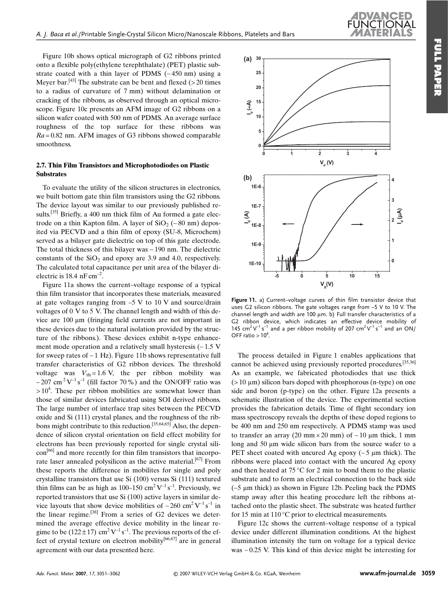Figure 10b shows optical micrograph of G2 ribbons printed onto a flexible poly(ethylene terephthalate) (PET) plastic substrate coated with a thin layer of PDMS (∼ 450 nm) using a Meyer bar.<sup>[43]</sup> The substrate can be bent and flexed ( $>$  20 times to a radius of curvature of 7 mm) without delamination or cracking of the ribbons, as observed through an optical microscope. Figure 10c presents an AFM image of G2 ribbons on a silicon wafer coated with 500 nm of PDMS. An average surface roughness of the top surface for these ribbons was  $Ra = 0.82$  nm. AFM images of G3 ribbons showed comparable smoothness.

### **2.7. Thin Film Transistors and Microphotodiodes on Plastic Substrates**

To evaluate the utility of the silicon structures in electronics, we built bottom gate thin film transistors using the G2 ribbons. The device layout was similar to our previously published results.<sup>[35]</sup> Briefly, a 400 nm thick film of Au formed a gate electrode on a thin Kapton film. A layer of SiO<sub>2</sub> (∼80 nm) deposited via PECVD and a thin film of epoxy (SU-8, Microchem) served as a bilayer gate dielectric on top of this gate electrode. The total thickness of this bilayer was ∼ 190 nm. The dielectric constants of the  $SiO<sub>2</sub>$  and epoxy are 3.9 and 4.0, respectively. The calculated total capacitance per unit area of the bilayer dielectric is 18.4  $nF cm^{-2}$ .

Figure 11a shows the current–voltage response of a typical thin film transistor that incorporates these materials, measured at gate voltages ranging from  $-5$  V to 10 V and source/drain voltages of 0 V to 5 V. The channel length and width of this device are 100  $\mu$ m (fringing field currents are not important in these devices due to the natural isolation provided by the structure of the ribbons.). These devices exhibit n-type enhancement mode operation and a relatively small hysteresis (∼ 1.5 V for sweep rates of ∼ 1 Hz). Figure 11b shows representative full transfer characteristics of G2 ribbon devices. The threshold voltage was  $V_{\text{th}} = 1.6 \text{ V}$ , the per ribbon mobility was ~207 cm<sup>2</sup>V<sup>-1</sup> s<sup>-1</sup> (fill factor 70%) and the ON/OFF ratio was  $> 10<sup>4</sup>$ . These per ribbon mobilities are somewhat lower than those of similar devices fabricated using SOI derived ribbons. The large number of interface trap sites between the PECVD oxide and Si (111) crystal planes, and the roughness of the ribbons might contribute to this reduction.[35,64,65] Also, the dependence of silicon crystal orientation on field effect mobility for electrons has been previously reported for single crystal sili- $\text{con}^{[66]}$  and more recently for thin film transistors that incorporate laser annealed polysilicon as the active material.<sup>[67]</sup> From these reports the difference in mobilites for single and poly crystalline transistors that use Si (100) versus Si (111) textured thin films can be as high as  $100-150 \text{ cm}^2 \text{ V}^{-1} \text{ s}^{-1}$ . Previously, we reported transistors that use Si (100) active layers in similar device layouts that show device mobilities of ~260 cm<sup>2</sup> V<sup>-1</sup> s<sup>-1</sup> in the linear regime.[38] From a series of G2 devices we determined the average effective device mobility in the linear regime to be  $(122 \pm 17)$  cm<sup>2</sup>V<sup>-1</sup>s<sup>-1</sup>. The previous reports of the effect of crystal texture on electron mobility<sup>[66,67]</sup> are in general agreement with our data presented here.



**Figure 11.** a) Current–voltage curves of thin film transistor device that uses G2 silicon ribbons. The gate voltages range from –5 V to 10 V. The channel length and width are  $100 \mu m$ . b) Full transfer characteristics of a G2 ribbon device, which indicates an effective device mobility of 145 cm<sup>2</sup> V<sup>-1</sup> s<sup>-1</sup> and a per ribbon mobility of 207 cm<sup>2</sup> V<sup>-1</sup> s<sup>-1</sup> and an ON/ OFF ratio  $>10^4$ .

The process detailed in Figure 1 enables applications that cannot be achieved using previously reported procedures.[35,36] As an example, we fabricated photodiodes that use thick  $(> 10 \mu m)$  silicon bars doped with phosphorous (n-type) on one side and boron (p-type) on the other. Figure 12a presents a schematic illustration of the device. The experimental section provides the fabrication details. Time of flight secondary ion mass spectroscopy reveals the depths of these doped regions to be 400 nm and 250 nm respectively. A PDMS stamp was used to transfer an array (20 mm × 20 mm) of ~10 µm thick, 1 mm long and 50 um wide silicon bars from the source wafer to a PET sheet coated with uncured Ag epoxy ( $\sim$  5 µm thick). The ribbons were placed into contact with the uncured Ag epoxy and then heated at 75 °C for 2 min to bond them to the plastic substrate and to form an electrical connection to the back side (∼5 lm thick) as shown in Figure 12b. Peeling back the PDMS stamp away after this heating procedure left the ribbons attached onto the plastic sheet. The substrate was heated further for 15 min at  $110^{\circ}$ C prior to electrical measurements.

Figure 12c shows the current–voltage response of a typical device under different illumination conditions. At the highest illumination intensity the turn on voltage for a typical device was ∼ 0.25 V. This kind of thin device might be interesting for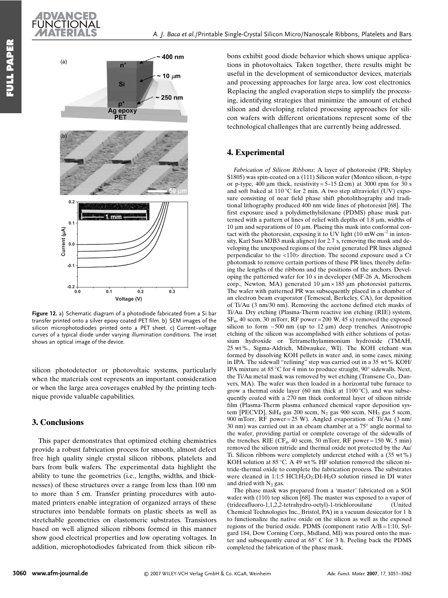

**Figure 12.** a) Schematic diagram of a photodiode fabricated from a Si bar transfer printed onto a silver epoxy coated PET film. b) SEM images of the silicon microphotodiodes printed onto a PET sheet. c) Current–voltage curves of a typical diode under varying illumination conditions. The inset shows an optical image of the device.

silicon photodetector or photovoltaic systems, particularly when the materials cost represents an important consideration or when the large area coverages enabled by the printing technique provide valuable capabilities.

# **3. Conclusions**

This paper demonstrates that optimized etching chemistries provide a robust fabrication process for smooth, almost defect free high quality single crystal silicon ribbons, platelets and bars from bulk wafers. The experimental data highlight the ability to tune the geometries (i.e., lengths, widths, and thicknesses) of these structures over a range from less than 100 nm to more than 5 cm. Transfer printing procedures with automated printers enable integration of organized arrays of these structures into bendable formats on plastic sheets as well as stretchable geometries on elastomeric substrates. Transistors based on well aligned silicon ribbons formed in this manner show good electrical properties and low operating voltages. In addition, microphotodiodes fabricated from thick silicon ribbons exhibit good diode behavior which shows unique applications in photovoltaics. Taken together, there results might be useful in the development of semiconductor devices, materials and processing approaches for large area, low cost electronics. Replacing the angled evaporation steps to simplify the processing, identifying strategies that minimize the amount of etched silicon and developing related processing approaches for silicon wafers with different orientations represent some of the technological challenges that are currently being addressed.

## **4. Experimental**

*Fabrication of Silicon Ribbons*: A layer of photoresist (PR; Shipley S1805) was spin-coated on a (111) Silicon wafer (Montco silicon, n-type or p-type, 400  $\mu$ m thick, resistivity = 5–15  $\Omega$  cm) at 3000 rpm for 30 s and soft baked at 110 °C for 2 min. A two step ultraviolet (UV) exposure consisting of near field phase shift photolithography and traditional lithography produced 400 nm wide lines of photoresist [68]. The first exposure used a polydimethylsiloxane (PDMS) phase mask patterned with a pattern of lines of relief with depths of  $1.8 \mu m$ , widths of  $10 \mu$ m and separations of  $10 \mu$ m. Placing this mask into conformal contact with the photoresist, exposing it to UV light (10 mW  $cm^{-2}$  in intensity, Karl Suss MJB3 mask aligner) for 2.7 s, removing the mask and developing the unexposed regions of the resist generated PR lines aligned perpendicular to the  $\langle 1\overline{1}0 \rangle$  direction. The second exposure used a Cr photomask to remove certain portions of these PR lines, thereby defining the lengths of the ribbons and the positions of the anchors. Developing the patterned wafer for 10 s in developer (MF-26 A, Microchem corp., Newton, MA) generated 10  $\mu$ m × 185  $\mu$ m photoresist patterns. The wafer with patterned PR was subsequently placed in a chamber of an electron beam evaporator (Temescal, Berkeley, CA), for deposition of Ti/Au (3 nm/30 nm). Removing the acetone defined etch masks of Ti/Au. Dry etching (Plasma-Therm reactive ion etching (RIE) system,  $SF<sub>6</sub>$ , 40 sccm, 30 mTorr, RF power = 200 W, 45 s) removed the exposed silicon to form ∼500 nm (up to 12  $\mu$ m) deep trenches. Anisotropic etching of the silicon was accomplished with either solutions of potassium hydroxide or Tetramethylammonium hydroxide (TMAH, 25 wt%, Sigma-Aldrich, Milwaukee, WI). The KOH etchant was formed by dissolving KOH pellets in water and, in some cases, mixing in IPA. The sidewall "refining" step was carried out in a 35 wt% KOH/ IPA mixture at 85 °C for 4 min to produce straight, 90° sidewalls. Next, the Ti/Au metal mask was removed by wet etching (Transene Co., Danvers, MA). The wafer was then loaded in a horizontal tube furnace to grow a thermal oxide layer (60 nm thick at  $1100^{\circ}$ C), and was subsequently coated with a 270 nm thick conformal layer of silicon nitride film (Plasma-Therm plasma enhanced chemical vapor deposition system [PECVD], SiH<sub>4</sub> gas 200 sccm,  $N_2$  gas 900 sccm, NH<sub>3</sub> gas 5 sccm, 900 mTorr, RF power = 25 W). Angled evaporation of Ti/Au (3 nm/ 30 nm) was carried out in an ebeam chamber at a 75° angle normal to the wafer, providing partial or complete coverage of the sidewalls of the trenches. RIE (CF<sub>4</sub>, 40 sccm, 50 mTorr, RF power = 150 W, 5 min) removed the silicon nitride and thermal oxide not protected by the Au/ Ti. Silicon ribbons were completely undercut etched with a (35 wt%) KOH solution at 85 °C. A 49 wt % HF solution removed the silicon nitride-thermal oxide to complete the fabrication process. The substrates were cleaned in 1:1:5  $HCl:H_2O_2:DI-H_2O$  solution rinsed in DI water and dried with  $N_2$  gas.

The phase mask was prepared from a 'master' fabricated on a SOI wafer with (110) top silicon [68]. The master was exposed to a vapor of (tridecafluoro-1,1,2,2-tetrahydro-octyl)-1-trichlorosilane (United Chemical Technologies Inc., Bristol, PA) in a vacuum desiccator for 1 h to functionalize the native oxide on the silicon as well as the exposed regions of the buried oxide. PDMS (component ratio  $A/B = 1:10$ , Sylgard 184, Dow Corning Corp., Midland, MI) was poured onto the master and subsequently cured at 65° C for 3 h. Peeling back the PDMS completed the fabrication of the phase mask.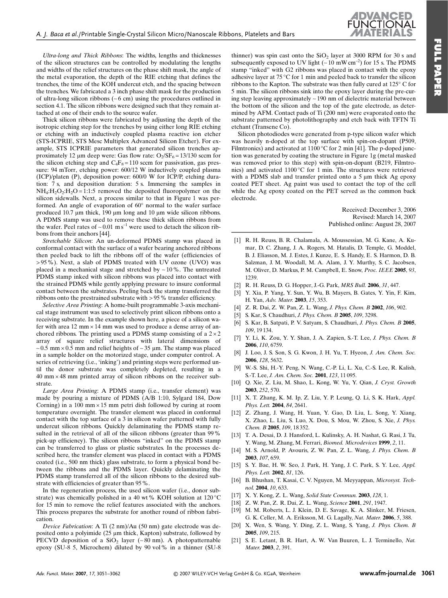**IDVANCED** <u>FUNCTIONAL</u>

*Ultra-long and Thick Ribbons*: The widths, lengths and thicknesses of the silicon structures can be controlled by modulating the lengths and widths of the relief structures on the phase shift mask, the angle of the metal evaporation, the depth of the RIE etching that defines the trenches, the time of the KOH undercut etch, and the spacing between the trenches. We fabricated a 3 inch phase shift mask for the production of ultra-long silicon ribbons (∼ 6 cm) using the procedures outlined in section 4.1. The silicon ribbons were designed such that they remain attached at one of their ends to the source wafer.

Thick silicon ribbons were fabricated by adjusting the depth of the isotropic etching step for the trenches by using either long RIE etching or etching with an inductively coupled plasma reactive ion etcher (STS-ICPRIE, STS Mesc Multiplex Advanced Silicon Etcher). For example, STS ICPRIE parameters that generated silicon trenches approximately 12  $\mu$ m deep were: Gas flow rate: O<sub>2</sub>/SF<sub>6</sub> = 13/130 sccm for the silicon etching step and  $C_4F_8 = 110$  sccm for passivation, gas pressure: 94 mTorr, etching power: 600/12 W inductively coupled plasma (ICP)/platen (P), deposition power: 600/0 W for ICP/P, etching duration: 7 s, and deposition duration: 5 s. Immersing the samples in  $NH_4:H_2O_2:H_2O = 1:1:5$  removed the deposited fluoropolymer on the silicon sidewalls. Next, a process similar to that in Figure 1 was performed. An angle of evaporation of 60° normal to the wafer surface produced 10.7  $\mu$ m thick, 190  $\mu$ m long and 10  $\mu$ m wide silicon ribbons. A PDMS stamp was used to remove these thick silicon ribbons from the wafer. Peel rates of ~0.01 m s<sup>-1</sup> were used to detach the silicon ribbons from their anchors [44].

*Stretchable Silicon*: An un-deformed PDMS stamp was placed in conformal contact with the surface of a wafer bearing anchored ribbons then peeled back to lift the ribbons off of the wafer (efficiencies of > 95%). Next, a slab of PDMS treated with UV ozone (UVO) was placed in a mechanical stage and stretched by ∼ 10%. The untreated PDMS stamp inked with silicon ribbons was placed into contact with the strained PDMS while gently applying pressure to insure conformal contact between the substrates. Peeling back the stamp transferred the ribbons onto the prestrained substrate with > 95% transfer efficiency.

*Selective Area Printing*: A home-built programmable 3-axis mechanical stage instrument was used to selectively print silicon ribbons onto a receiving substrate. In the example shown here, a piece of a silicon wafer with area  $12 \text{ mm} \times 14 \text{ mm}$  was used to produce a dense array of anchored ribbons. The printing used a PDMS stamp consisting of a  $2 \times 2$ array of square relief structures with lateral dimensions of  $~\sim$  0.5 mm × 0.5 mm and relief heights of  $~\sim$  35 µm. The stamp was placed in a sample holder on the motorized stage, under computer control. A series of retrieving (i.e., 'inking') and printing steps were performed until the donor substrate was completely depleted, resulting in a  $40 \text{ mm} \times 48 \text{ mm}$  printed array of silicon ribbons on the receiver substrate.

*Large Area Printing*: A PDMS stamp (i.e., transfer element) was made by pouring a mixture of PDMS (A/B 1:10, Sylgard 184, Dow Corning) in a  $100 \text{ mm} \times 15 \text{ mm}$  petri dish followed by curing at room temperature overnight. The transfer element was placed in conformal contact with the top surface of a 3 in silicon wafer patterned with fully undercut silicon ribbons. Quickly delaminating the PDMS stamp resulted in the retrieval of all of the silicon ribbons (greater than 99% pick-up efficiency). The silicon ribbons "inked" on the PDMS stamp can be transferred to glass or plastic substrates. In the processes described here, the transfer element was placed in contact with a PDMS coated (i.e., 500 nm thick) glass substrate, to form a physical bond between the ribbons and the PDMS layer. Quickly delaminating the PDMS stamp transferred all of the silicon ribbons to the desired substrate with efficiencies of greater than 95%.

In the regeneration process, the used silicon wafer (i.e., donor substrate) was chemically polished in a 40 wt% KOH solution at 120 °C for 15 min to remove the relief features associated with the anchors. This process prepares the substrate for another round of ribbon fabrication.

*Device Fabrication*: A Ti (2 nm)/Au (50 nm) gate electrode was deposited onto a polyimide  $(25 \mu m)$  thick, Kapton) substrate, followed by PECVD deposition of a SiO<sub>2</sub> layer (~80 nm). A photopatternable epoxy (SU-8 5, Microchem) diluted by 90 vol% in a thinner (SU-8

thinner) was spin cast onto the  $SiO<sub>2</sub>$  layer at 3000 RPM for 30 s and subsequently exposed to UV light ( $\sim$  10 mW cm<sup>-2</sup>) for 15 s. The PDMS stamp "inked" with G2 ribbons was placed in contact with the epoxy adhesive layer at 75 °C for 1 min and peeled back to transfer the silicon ribbons to the Kapton. The substrate was then fully cured at 125° C for 5 min. The silicon ribbons sink into the epoxy layer during the pre-curing step leaving approximately ∼ 190 nm of dielectric material between the bottom of the silicon and the top of the gate electrode, as determined by AFM. Contact pads of Ti (200 nm) were evaporated onto the substrate patterned by photolithography and etch back with TFTN Ti etchant (Transene Co).

Silicon photodiodes were generated from p-type silicon wafer which was heavily n-doped at the top surface with spin-on-dopant (P509, Filmtronics) and activated at 1100 °C for 2 min [41]. The p-doped junction was generated by coating the structure in Figure 1g (metal masked was removed prior to this step) with spin-on-dopant (B219, Filmtronics) and activated 1100 °C for 1 min. The structures were retrieved with a PDMS slab and transfer printed onto a 5 µm thick Ag epoxy coated PET sheet. Ag paint was used to contact the top of the cell while the Ag epoxy coated on the PET served as the common back electrode. mined by AFM. Contact pads c<br>substrate patterned by photolit<br>etchant (Transne Co).<br>etchant (Transne Co).<br>Silicon photodiodes were ger<br>was heavily n-doped at the trimation was generated by coating t<br>was removed prior to thi

Received: December 3, 2006 Revised: March 14, 2007 Published online: August 28, 2007

- [1] R. H. Reuss, B. R. Chalamala, A. Moussessian, M. G. Kane, A. Kumar, D. C. Zhang, J. A. Rogers, M. Hatalis, D. Temple, G. Moddel, B. J. Eliasson, M. J. Estes, J. Kunze, E. S. Handy, E. S. Harmon, D. B. Salzman, J. M. Woodall, M. A. Alam, J. Y. Murthy, S. C. Jacobsen, M. Oliver, D. Markus, P. M. Campbell, E. Snow, *Proc. IEEE* **2005**, *93*, 1239.
- [2] R. H. Reuss, D. G. Hopper, J.-G. Park, *MRS Bull.* **2006**, *31*, 447.
- [3] Y. Xia, P. Yang, Y. Sun, Y. Wu, B. Mayers, B. Gates, Y. Yin, F. Kim, H. Yan, *Adv. Mater.* **2003**, *15*, 353.
- [4] Z. R. Dai, Z. W. Pan, Z. L. Wang, *J. Phys. Chem. B* **2002**, *106*, 902.
- [5] S. Kar, S. Chaudhuri, *J. Phys. Chem. B* **2005**, *109*, 3298.
- [6] S. Kar, B. Satpati, P. V. Satyam, S. Chaudhuri, *J. Phys. Chem. B* **2005**, *109*, 19 134.
- [7] Y. Li, K. Zou, Y. Y. Shan, J. A. Zapien, S.-T. Lee, *J. Phys. Chem. B* **2006**, *110*, 6759.
- [8] J. Loo, J. S. Son, S. G. Kwon, J. H. Yu, T. Hyeon, *J. Am. Chem. Soc.* **2006**, *128*, 5632.
- [9] W.-S. Shi, H.-Y. Peng, N. Wang, C.-P. Li, L. Xu, C.-S. Lee, R. Kalish, S.-T. Lee, *J. Am. Chem. Soc.* **2001**, *123*, 11 095.
- [10] Q. Xie, Z. Liu, M. Shao, L. Kong, W. Yu, Y. Qian, *J. Cryst. Growth* **2003**, *252*, 570.
- [11] X. T. Zhang, K. M. Ip, Z. Liu, Y. P. Leung, Q. Li, S. K. Hark, *Appl. Phys. Lett.* **2004**, *84*, 2641.
- [12] Z. Zhang, J. Wang, H. Yuan, Y. Gao, D. Liu, L. Song, Y. Xiang, X. Zhao, L. Liu, S. Luo, X. Dou, S. Mou, W. Zhou, S. Xie, *J. Phys. Chem. B* **2005**, *109*, 18 352.
- [13] T. A. Desai, D. J. Hansford, L. Kulinsky, A. H. Nashat, G. Rasi, J. Tu, Y. Wang, M. Zhang, M. Ferrari, *Biomed. Microdevices* **1999**, *2*, 11.
- [14] M. S. Arnold, P. Avouris, Z. W. Pan, Z. L. Wang, *J. Phys. Chem. B* **2003**, *107*, 659.
- [15] S. Y. Bae, H. W. Seo, J. Park, H. Yang, J. C. Park, S. Y. Lee, *Appl. Phys. Lett.* **2002**, *81*, 126.
- [16] B. Bhushan, T. Kasai, C. V. Nguyen, M. Meyyappan, *Microsyst. Technol.* **2004**, *10*, 633.
- [17] X. Y. Kong, Z. L. Wang, *Solid State Commun.* **2003**, *128*, 1.
- [18] Z. W. Pan, Z. R. Dai, Z. L. Wang, *Science* **2001**, *291*, 1947.
- [19] M. M. Roberts, L. J. Klein, D. E. Savage, K. A. Slinker, M. Friesen, G. K. Celler, M. A. Eriksson, M. G. Lagally, *Nat. Mater.* **2006**, *5*, 388.
- [20] X. Wen, S. Wang, Y. Ding, Z. L. Wang, S. Yang, *J. Phys. Chem. B* **2005**, *109*, 215.
- [21] S. E. Letant, B. R. Hart, A. W. Van Buuren, L. J. Terminello, *Nat. Mater.* **2003**, *2*, 391.